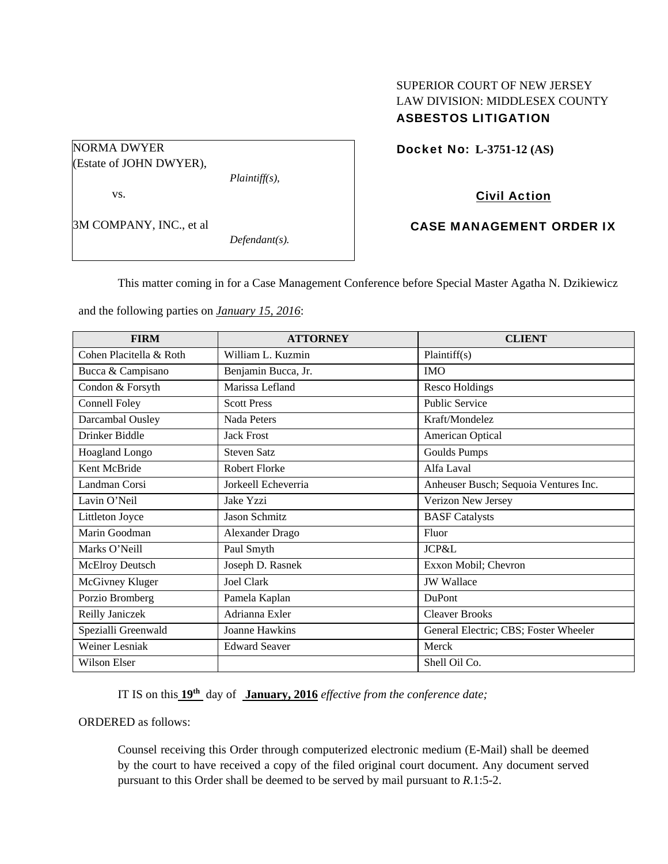## SUPERIOR COURT OF NEW JERSEY LAW DIVISION: MIDDLESEX COUNTY ASBESTOS LITIGATION

Docket No: **L-3751-12 (AS)** 

# Civil Action

## CASE MANAGEMENT ORDER IX

This matter coming in for a Case Management Conference before Special Master Agatha N. Dzikiewicz

and the following parties on *January 15, 2016*:

*Defendant(s).* 

| <b>FIRM</b>             | <b>ATTORNEY</b>      | <b>CLIENT</b>                         |
|-------------------------|----------------------|---------------------------------------|
| Cohen Placitella & Roth | William L. Kuzmin    | Plaintiff(s)                          |
| Bucca & Campisano       | Benjamin Bucca, Jr.  | <b>IMO</b>                            |
| Condon & Forsyth        | Marissa Lefland      | <b>Resco Holdings</b>                 |
| Connell Foley           | <b>Scott Press</b>   | <b>Public Service</b>                 |
| Darcambal Ousley        | Nada Peters          | Kraft/Mondelez                        |
| Drinker Biddle          | <b>Jack Frost</b>    | American Optical                      |
| Hoagland Longo          | <b>Steven Satz</b>   | <b>Goulds Pumps</b>                   |
| Kent McBride            | <b>Robert Florke</b> | Alfa Laval                            |
| Landman Corsi           | Jorkeell Echeverria  | Anheuser Busch; Sequoia Ventures Inc. |
| Lavin O'Neil            | Jake Yzzi            | Verizon New Jersey                    |
| Littleton Joyce         | Jason Schmitz        | <b>BASF</b> Catalysts                 |
| Marin Goodman           | Alexander Drago      | Fluor                                 |
| Marks O'Neill           | Paul Smyth           | <b>JCP&amp;L</b>                      |
| McElroy Deutsch         | Joseph D. Rasnek     | Exxon Mobil; Chevron                  |
| McGivney Kluger         | <b>Joel Clark</b>    | <b>JW</b> Wallace                     |
| Porzio Bromberg         | Pamela Kaplan        | <b>DuPont</b>                         |
| Reilly Janiczek         | Adrianna Exler       | <b>Cleaver Brooks</b>                 |
| Spezialli Greenwald     | Joanne Hawkins       | General Electric; CBS; Foster Wheeler |
| Weiner Lesniak          | <b>Edward Seaver</b> | Merck                                 |
| Wilson Elser            |                      | Shell Oil Co.                         |

IT IS on this **19th** day of **January, 2016** *effective from the conference date;*

ORDERED as follows:

Counsel receiving this Order through computerized electronic medium (E-Mail) shall be deemed by the court to have received a copy of the filed original court document. Any document served pursuant to this Order shall be deemed to be served by mail pursuant to *R*.1:5-2.

(Estate of JOHN DWYER), *Plaintiff(s),* 

vs.

3M COMPANY, INC., et al

NORMA DWYER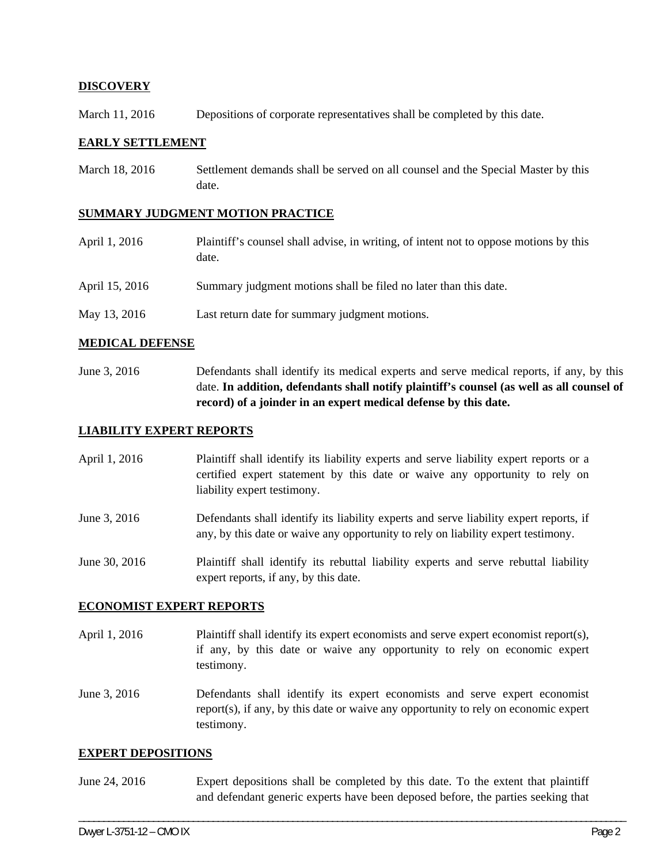## **DISCOVERY**

March 11, 2016 Depositions of corporate representatives shall be completed by this date.

### **EARLY SETTLEMENT**

March 18, 2016 Settlement demands shall be served on all counsel and the Special Master by this date.

#### **SUMMARY JUDGMENT MOTION PRACTICE**

April 1, 2016 Plaintiff's counsel shall advise, in writing, of intent not to oppose motions by this date. April 15, 2016 Summary judgment motions shall be filed no later than this date. May 13, 2016 Last return date for summary judgment motions.

## **MEDICAL DEFENSE**

June 3, 2016 Defendants shall identify its medical experts and serve medical reports, if any, by this date. **In addition, defendants shall notify plaintiff's counsel (as well as all counsel of record) of a joinder in an expert medical defense by this date.** 

### **LIABILITY EXPERT REPORTS**

- April 1, 2016 Plaintiff shall identify its liability experts and serve liability expert reports or a certified expert statement by this date or waive any opportunity to rely on liability expert testimony.
- June 3, 2016 Defendants shall identify its liability experts and serve liability expert reports, if any, by this date or waive any opportunity to rely on liability expert testimony.

June 30, 2016 Plaintiff shall identify its rebuttal liability experts and serve rebuttal liability expert reports, if any, by this date.

#### **ECONOMIST EXPERT REPORTS**

April 1, 2016 Plaintiff shall identify its expert economists and serve expert economist report(s), if any, by this date or waive any opportunity to rely on economic expert testimony.

June 3, 2016 Defendants shall identify its expert economists and serve expert economist report(s), if any, by this date or waive any opportunity to rely on economic expert testimony.

#### **EXPERT DEPOSITIONS**

June 24, 2016 Expert depositions shall be completed by this date. To the extent that plaintiff and defendant generic experts have been deposed before, the parties seeking that

\_\_\_\_\_\_\_\_\_\_\_\_\_\_\_\_\_\_\_\_\_\_\_\_\_\_\_\_\_\_\_\_\_\_\_\_\_\_\_\_\_\_\_\_\_\_\_\_\_\_\_\_\_\_\_\_\_\_\_\_\_\_\_\_\_\_\_\_\_\_\_\_\_\_\_\_\_\_\_\_\_\_\_\_\_\_\_\_\_\_\_\_\_\_\_\_\_\_\_\_\_\_\_\_\_\_\_\_\_\_